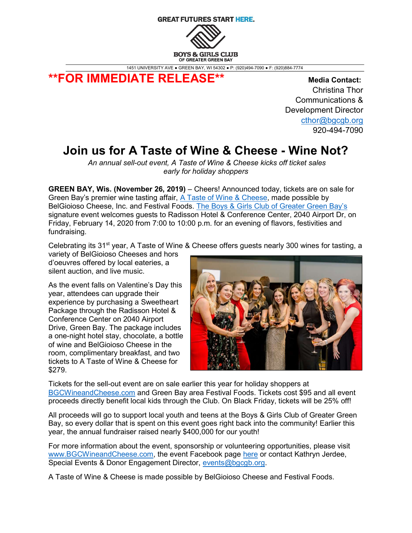## **GREAT FUTURES START HERE.**



1451 UNIVERSITY AVE ● GREEN BAY, WI 54302 ● P: (920)494-7090 ● F: (920)884-7774

\*\*FOR IMMEDIATE RELEASE\*\* Media Contact:

 Christina Thor Communications & Development Director cthor@bgcgb.org 920-494-7090

## Join us for A Taste of Wine & Cheese - Wine Not?

An annual sell-out event, A Taste of Wine & Cheese kicks off ticket sales early for holiday shoppers

GREEN BAY, Wis. (November 26, 2019) – Cheers! Announced today, tickets are on sale for Green Bay's premier wine tasting affair, A Taste of Wine & Cheese, made possible by BelGioioso Cheese, Inc. and Festival Foods. The Boys & Girls Club of Greater Green Bay's signature event welcomes guests to Radisson Hotel & Conference Center, 2040 Airport Dr, on Friday, February 14, 2020 from 7:00 to 10:00 p.m. for an evening of flavors, festivities and fundraising.

Celebrating its 31<sup>st</sup> year, A Taste of Wine & Cheese offers guests nearly 300 wines for tasting, a

variety of BelGioioso Cheeses and hors d'oeuvres offered by local eateries, a silent auction, and live music.

As the event falls on Valentine's Day this year, attendees can upgrade their experience by purchasing a Sweetheart Package through the Radisson Hotel & Conference Center on 2040 Airport Drive, Green Bay. The package includes a one-night hotel stay, chocolate, a bottle of wine and BelGioioso Cheese in the room, complimentary breakfast, and two tickets to A Taste of Wine & Cheese for \$279.



Tickets for the sell-out event are on sale earlier this year for holiday shoppers at BGCWineandCheese.com and Green Bay area Festival Foods. Tickets cost \$95 and all event proceeds directly benefit local kids through the Club. On Black Friday, tickets will be 25% off!

All proceeds will go to support local youth and teens at the Boys & Girls Club of Greater Green Bay, so every dollar that is spent on this event goes right back into the community! Earlier this year, the annual fundraiser raised nearly \$400,000 for our youth!

For more information about the event, sponsorship or volunteering opportunities, please visit www.BGCWineandCheese.com, the event Facebook page here or contact Kathryn Jerdee, Special Events & Donor Engagement Director, events@bgcgb.org.

A Taste of Wine & Cheese is made possible by BelGioioso Cheese and Festival Foods.